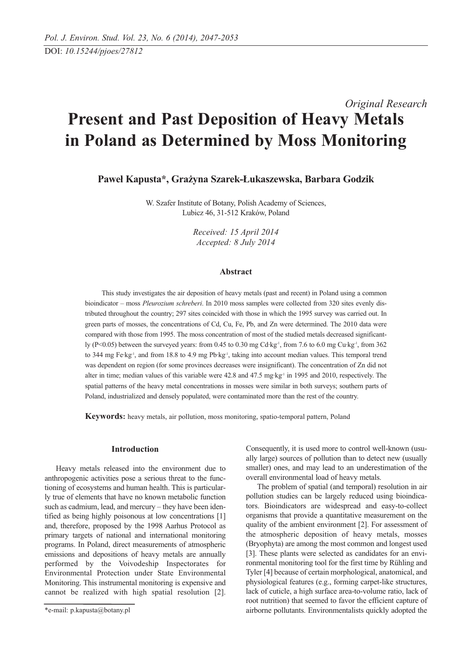# *Original Research* **Present and Past Deposition of Heavy Metals in Poland as Determined by Moss Monitoring**

**Paweł Kapusta\*, Grażyna Szarek-Łukaszewska, Barbara Godzik**

W. Szafer Institute of Botany, Polish Academy of Sciences, Lubicz 46, 31-512 Kraków, Poland

> *Received: 15 April 2014 Accepted: 8 July 2014*

## **Abstract**

This study investigates the air deposition of heavy metals (past and recent) in Poland using a common bioindicator – moss *Pleurozium schreberi*. In 2010 moss samples were collected from 320 sites evenly distributed throughout the country; 297 sites coincided with those in which the 1995 survey was carried out. In green parts of mosses, the concentrations of Cd, Cu, Fe, Pb, and Zn were determined. The 2010 data were compared with those from 1995. The moss concentration of most of the studied metals decreased significantly (P<0.05) between the surveyed years: from 0.45 to 0.30 mg Cd·kg<sup>-1</sup>, from 7.6 to 6.0 mg Cu·kg<sup>-1</sup>, from 362 to 344 mg Fe·kg<sup>-1</sup>, and from 18.8 to 4.9 mg Pb·kg<sup>-1</sup>, taking into account median values. This temporal trend was dependent on region (for some provinces decreases were insignificant). The concentration of Zn did not alter in time; median values of this variable were 42.8 and 47.5 mg·kg<sup>-1</sup> in 1995 and 2010, respectively. The spatial patterns of the heavy metal concentrations in mosses were similar in both surveys; southern parts of Poland, industrialized and densely populated, were contaminated more than the rest of the country.

**Keywords:** heavy metals, air pollution, moss monitoring, spatio-temporal pattern, Poland

## **Introduction**

Heavy metals released into the environment due to anthropogenic activities pose a serious threat to the functioning of ecosystems and human health. This is particularly true of elements that have no known metabolic function such as cadmium, lead, and mercury – they have been identified as being highly poisonous at low concentrations [1] and, therefore, proposed by the 1998 Aarhus Protocol as primary targets of national and international monitoring programs. In Poland, direct measurements of atmospheric emissions and depositions of heavy metals are annually performed by the Voivodeship Inspectorates for Environmental Protection under State Environmental Monitoring. This instrumental monitoring is expensive and cannot be realized with high spatial resolution [2].

Consequently, it is used more to control well-known (usually large) sources of pollution than to detect new (usually smaller) ones, and may lead to an underestimation of the overall environmental load of heavy metals.

The problem of spatial (and temporal) resolution in air pollution studies can be largely reduced using bioindicators. Bioindicators are widespread and easy-to-collect organisms that provide a quantitative measurement on the quality of the ambient environment [2]. For assessment of the atmospheric deposition of heavy metals, mosses (Bryophyta) are among the most common and longest used [3]. These plants were selected as candidates for an environmental monitoring tool for the first time by Rühling and Tyler [4] because of certain morphological, anatomical, and physiological features (e.g., forming carpet-like structures, lack of cuticle, a high surface area-to-volume ratio, lack of root nutrition) that seemed to favor the efficient capture of airborne pollutants. Environmentalists quickly adopted the

<sup>\*</sup>e-mail: p.kapusta@botany.pl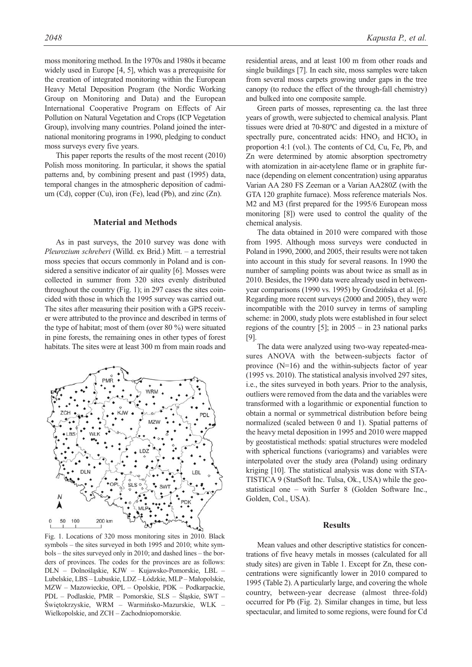moss monitoring method. In the 1970s and 1980s it became widely used in Europe [4, 5], which was a prerequisite for the creation of integrated monitoring within the European Heavy Metal Deposition Program (the Nordic Working Group on Monitoring and Data) and the European International Cooperative Program on Effects of Air Pollution on Natural Vegetation and Crops (ICP Vegetation Group), involving many countries. Poland joined the international monitoring programs in 1990, pledging to conduct moss surveys every five years.

This paper reports the results of the most recent (2010) Polish moss monitoring. In particular, it shows the spatial patterns and, by combining present and past (1995) data, temporal changes in the atmospheric deposition of cadmium (Cd), copper (Cu), iron (Fe), lead (Pb), and zinc (Zn).

## **Material and Methods**

As in past surveys, the 2010 survey was done with *Pleurozium schreberi* (Willd. ex Brid.) Mitt. – a terrestrial moss species that occurs commonly in Poland and is considered a sensitive indicator of air quality [6]. Mosses were collected in summer from 320 sites evenly distributed throughout the country (Fig. 1); in 297 cases the sites coincided with those in which the 1995 survey was carried out. The sites after measuring their position with a GPS receiver were attributed to the province and described in terms of the type of habitat; most of them (over 80 %) were situated in pine forests, the remaining ones in other types of forest habitats. The sites were at least 300 m from main roads and



Fig. 1. Locations of 320 moss monitoring sites in 2010. Black symbols – the sites surveyed in both 1995 and 2010; white symbols – the sites surveyed only in 2010; and dashed lines – the borders of provinces. The codes for the provinces are as follows: DLN – Dolnośląskie, KJW – Kujawsko-Pomorskie, LBL – Lubelskie, LBS – Lubuskie, LDZ – Łódzkie, MLP – Małopolskie, MZW – Mazowieckie, OPL – Opolskie, PDK – Podkarpackie, PDL – Podlaskie, PMR – Pomorskie, SLS – Śląskie, SWT – Świętokrzyskie, WRM – Warmińsko-Mazurskie, WLK – Wielkopolskie, and ZCH – Zachodniopomorskie.

residential areas, and at least 100 m from other roads and single buildings [7]. In each site, moss samples were taken from several moss carpets growing under gaps in the tree canopy (to reduce the effect of the through-fall chemistry) and bulked into one composite sample.

Green parts of mosses, representing ca. the last three years of growth, were subjected to chemical analysis. Plant tissues were dried at 70-80ºC and digested in a mixture of spectrally pure, concentrated acids:  $HNO<sub>3</sub>$  and  $HClO<sub>4</sub>$  in proportion 4:1 (vol.). The contents of Cd, Cu, Fe, Pb, and Zn were determined by atomic absorption spectrometry with atomization in air-acetylene flame or in graphite furnace (depending on element concentration) using apparatus Varian AA 280 FS Zeeman or a Varian AA280Z (with the GTA 120 graphite furnace). Moss reference materials Nos. M2 and M3 (first prepared for the 1995/6 European moss monitoring [8]) were used to control the quality of the chemical analysis.

The data obtained in 2010 were compared with those from 1995. Although moss surveys were conducted in Poland in 1990, 2000, and 2005, their results were not taken into account in this study for several reasons. In 1990 the number of sampling points was about twice as small as in 2010. Besides, the 1990 data were already used in betweenyear comparisons (1990 vs. 1995) by Grodzińska et al. [6]. Regarding more recent surveys (2000 and 2005), they were incompatible with the 2010 survey in terms of sampling scheme: in 2000, study plots were established in four select regions of the country  $[5]$ ; in 2005 – in 23 national parks [9].

The data were analyzed using two-way repeated-measures ANOVA with the between-subjects factor of province (N=16) and the within-subjects factor of year (1995 vs. 2010). The statistical analysis involved 297 sites, i.e., the sites surveyed in both years. Prior to the analysis, outliers were removed from the data and the variables were transformed with a logarithmic or exponential function to obtain a normal or symmetrical distribution before being normalized (scaled between 0 and 1). Spatial patterns of the heavy metal deposition in 1995 and 2010 were mapped by geostatistical methods: spatial structures were modeled with spherical functions (variograms) and variables were interpolated over the study area (Poland) using ordinary kriging [10]. The statistical analysis was done with STA-TISTICA 9 (StatSoft Inc. Tulsa, Ok., USA) while the geostatistical one – with Surfer 8 (Golden Software Inc., Golden, Col., USA).

### **Results**

Mean values and other descriptive statistics for concentrations of five heavy metals in mosses (calculated for all study sites) are given in Table 1. Except for Zn, these concentrations were significantly lower in 2010 compared to 1995 (Table 2). A particularly large, and covering the whole country, between-year decrease (almost three-fold) occurred for Pb (Fig. 2). Similar changes in time, but less spectacular, and limited to some regions, were found for Cd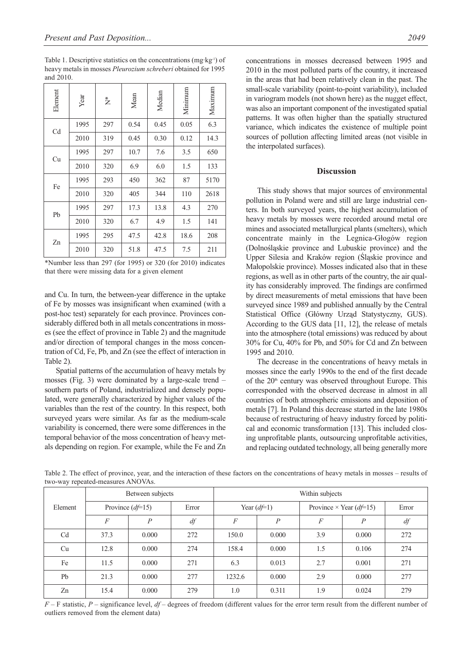| Element | Year | $\stackrel{*}{\succeq}$ | Mean | Median | Mininum | Maximum |
|---------|------|-------------------------|------|--------|---------|---------|
| Cd      | 1995 | 297                     | 0.54 | 0.45   | 0.05    | 6.3     |
|         | 2010 | 319                     | 0.45 | 0.30   | 0.12    | 14.3    |
| Cu      | 1995 | 297                     | 10.7 | 7.6    | 3.5     | 650     |
|         | 2010 | 320                     | 6.9  | 6.0    | 1.5     | 133     |
| Fe      | 1995 | 293                     | 450  | 362    | 87      | 5170    |
|         | 2010 | 320                     | 405  | 344    | 110     | 2618    |
| Pb      | 1995 | 297                     | 17.3 | 13.8   | 4.3     | 270     |
|         | 2010 | 320                     | 6.7  | 4.9    | 1.5     | 141     |
| Zn      | 1995 | 295                     | 47.5 | 42.8   | 18.6    | 208     |
|         | 2010 | 320                     | 51.8 | 47.5   | 7.5     | 211     |

\*Number less than 297 (for 1995) or 320 (for 2010) indicates that there were missing data for a given element

and Cu. In turn, the between-year difference in the uptake of Fe by mosses was insignificant when examined (with a post-hoc test) separately for each province. Provinces considerably differed both in all metals concentrations in mosses (see the effect of province in Table 2) and the magnitude and/or direction of temporal changes in the moss concentration of Cd, Fe, Pb, and Zn (see the effect of interaction in Table 2).

Spatial patterns of the accumulation of heavy metals by mosses (Fig. 3) were dominated by a large-scale trend – southern parts of Poland, industrialized and densely populated, were generally characterized by higher values of the variables than the rest of the country. In this respect, both surveyed years were similar. As far as the medium-scale variability is concerned, there were some differences in the temporal behavior of the moss concentration of heavy metals depending on region. For example, while the Fe and Zn concentrations in mosses decreased between 1995 and 2010 in the most polluted parts of the country, it increased in the areas that had been relatively clean in the past. The small-scale variability (point-to-point variability), included in variogram models (not shown here) as the nugget effect, was also an important component of the investigated spatial patterns. It was often higher than the spatially structured variance, which indicates the existence of multiple point sources of pollution affecting limited areas (not visible in the interpolated surfaces).

# **Discussion**

This study shows that major sources of environmental pollution in Poland were and still are large industrial centers. In both surveyed years, the highest accumulation of heavy metals by mosses were recorded around metal ore mines and associated metallurgical plants (smelters), which concentrate mainly in the Legnica-Głogów region (Dolnośląskie province and Lubuskie province) and the Upper Silesia and Kraków region (Śląskie province and Małopolskie province). Mosses indicated also that in these regions, as well as in other parts of the country, the air quality has considerably improved. The findings are confirmed by direct measurements of metal emissions that have been surveyed since 1989 and published annually by the Central Statistical Office (Główny Urząd Statystyczny, GUS). According to the GUS data [11, 12], the release of metals into the atmosphere (total emissions) was reduced by about 30% for Cu, 40% for Pb, and 50% for Cd and Zn between 1995 and 2010.

The decrease in the concentrations of heavy metals in mosses since the early 1990s to the end of the first decade of the  $20<sup>th</sup>$  century was observed throughout Europe. This corresponded with the observed decrease in almost in all countries of both atmospheric emissions and deposition of metals [7]. In Poland this decrease started in the late 1980s because of restructuring of heavy industry forced by political and economic transformation [13]. This included closing unprofitable plants, outsourcing unprofitable activities, and replacing outdated technology, all being generally more

|                | Between subjects  |                |       | Within subjects   |                |                                |                |       |  |  |  |
|----------------|-------------------|----------------|-------|-------------------|----------------|--------------------------------|----------------|-------|--|--|--|
| Element        | Province $(d=15)$ |                | Error | Year $(d \neq 1)$ |                | Province $\times$ Year (df=15) |                | Error |  |  |  |
|                | $\overline{F}$    | $\overline{P}$ | df    | $\overline{F}$    | $\overline{P}$ | $\boldsymbol{F}$               | $\overline{P}$ | df    |  |  |  |
| C <sub>d</sub> | 37.3              | 0.000          | 272   | 150.0             | 0.000          | 3.9                            | 0.000          | 272   |  |  |  |
| Cu             | 12.8              | 0.000          | 274   | 158.4             | 0.000          | 1.5                            | 0.106          | 274   |  |  |  |
| Fe             | 11.5              | 0.000          | 271   | 6.3               | 0.013          | 2.7                            | 0.001          | 271   |  |  |  |
| Pb             | 21.3              | 0.000          | 277   | 1232.6            | 0.000          | 2.9                            | 0.000          | 277   |  |  |  |
| Zn             | 15.4              | 0.000          | 279   | 1.0               | 0.311          | 1.9                            | 0.024          | 279   |  |  |  |

Table 2. The effect of province, year, and the interaction of these factors on the concentrations of heavy metals in mosses – results of two-way repeated-measures ANOVAs.

*F* – F statistic, *P* – significance level, *df* – degrees of freedom (different values for the error term result from the different number of outliers removed from the element data)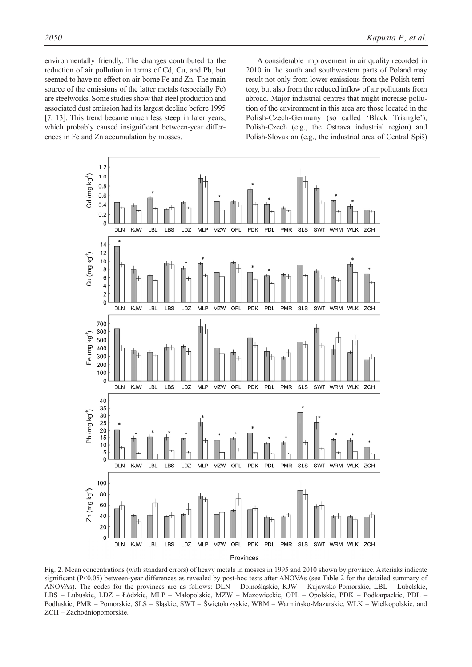environmentally friendly. The changes contributed to the reduction of air pollution in terms of Cd, Cu, and Pb, but seemed to have no effect on air-borne Fe and Zn. The main source of the emissions of the latter metals (especially Fe) are steelworks. Some studies show that steel production and associated dust emission had its largest decline before 1995 [7, 13]. This trend became much less steep in later years, which probably caused insignificant between-year differences in Fe and Zn accumulation by mosses.

A considerable improvement in air quality recorded in 2010 in the south and southwestern parts of Poland may result not only from lower emissions from the Polish territory, but also from the reduced inflow of air pollutants from abroad. Major industrial centres that might increase pollution of the environment in this area are those located in the Polish-Czech-Germany (so called 'Black Triangle'), Polish-Czech (e.g., the Ostrava industrial region) and Polish-Slovakian (e.g., the industrial area of Central Spiš)



Fig. 2. Mean concentrations (with standard errors) of heavy metals in mosses in 1995 and 2010 shown by province. Asterisks indicate significant (P<0.05) between-year differences as revealed by post-hoc tests after ANOVAs (see Table 2 for the detailed summary of ANOVAs). The codes for the provinces are as follows: DLN – Dolnośląskie, KJW – Kujawsko-Pomorskie, LBL – Lubelskie, LBS – Lubuskie, LDZ – Łódzkie, MLP – Małopolskie, MZW – Mazowieckie, OPL – Opolskie, PDK – Podkarpackie, PDL – Podlaskie, PMR – Pomorskie, SLS – Śląskie, SWT – Świętokrzyskie, WRM – Warmińsko-Mazurskie, WLK – Wielkopolskie, and ZCH – Zachodniopomorskie.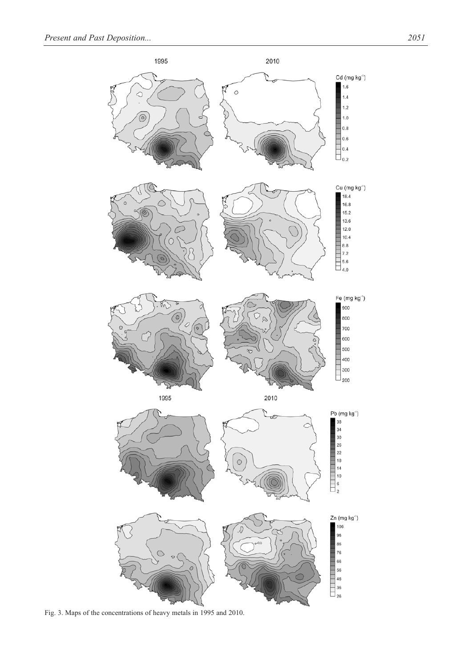

Fig. 3. Maps of the concentrations of heavy metals in 1995 and 2010.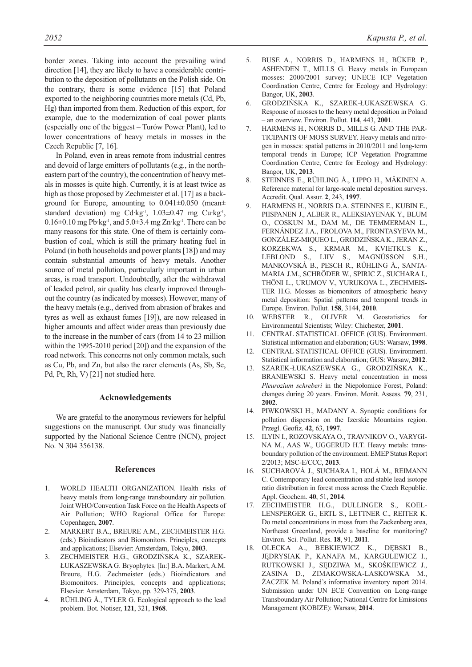border zones. Taking into account the prevailing wind direction [14], they are likely to have a considerable contribution to the deposition of pollutants on the Polish side. On the contrary, there is some evidence [15] that Poland exported to the neighboring countries more metals (Cd, Pb, Hg) than imported from them. Reduction of this export, for example, due to the modernization of coal power plants (especially one of the biggest – Turów Power Plant), led to lower concentrations of heavy metals in mosses in the Czech Republic [7, 16].

In Poland, even in areas remote from industrial centres and devoid of large emitters of pollutants (e.g., in the northeastern part of the country), the concentration of heavy metals in mosses is quite high. Currently, it is at least twice as high as those proposed by Zechmeister et al. [17] as a background for Europe, amounting to 0.041±0.050 (mean± standard deviation) mg Cd·kg<sup>-1</sup>, 1.03±0.47 mg Cu·kg<sup>-1</sup>,  $0.16\pm0.10$  mg Pb·kg<sup>-1</sup>, and  $5.0\pm3.4$  mg Zn·kg<sup>-1</sup>. There can be many reasons for this state. One of them is certainly combustion of coal, which is still the primary heating fuel in Poland (in both households and power plants [18]) and may contain substantial amounts of heavy metals. Another source of metal pollution, particularly important in urban areas, is road transport. Undoubtedly, after the withdrawal of leaded petrol, air quality has clearly improved throughout the country (as indicated by mosses). However, many of the heavy metals (e.g., derived from abrasion of brakes and tyres as well as exhaust fumes [19]), are now released in higher amounts and affect wider areas than previously due to the increase in the number of cars (from 14 to 23 million within the 1995-2010 period [20]) and the expansion of the road network. This concerns not only common metals, such as Cu, Pb, and Zn, but also the rarer elements (As, Sb, Se, Pd, Pt, Rh, V) [21] not studied here.

#### **Acknowledgements**

We are grateful to the anonymous reviewers for helpful suggestions on the manuscript. Our study was financially supported by the National Science Centre (NCN), project No. N 304 356138.

#### **References**

- 1. WORLD HEALTH ORGANIZATION. Health risks of heavy metals from long-range transboundary air pollution. Joint WHO/Convention Task Force on the Health Aspects of Air Pollution; WHO Regional Office for Europe: Copenhagen, **2007**.
- 2. MARKERT B.A., BREURE A.M., ZECHMEISTER H.G. (eds.) Bioindicators and Biomonitors. Principles, concepts and applications; Elsevier: Amsterdam, Tokyo, **2003**.
- 3. ZECHMEISTER H.G., GRODZIŃSKA K., SZAREK-ŁUKASZEWSKA G. Bryophytes. [In:] B.A. Markert, A.M. Breure, H.G. Zechmeister (eds.) Bioindicators and Biomonitors. Principles, concepts and applications; Elsevier: Amsterdam, Tokyo, pp. 329-375, **2003**.
- 4. RÜHLING Å., TYLER G. Ecological approach to the lead problem. Bot. Notiser, **121**, 321, **1968**.
- 5. BUSE A., NORRIS D., HARMENS H., BÜKER P., ASHENDEN T., MILLS G. Heavy metals in European mosses: 2000/2001 survey; UNECE ICP Vegetation Coordination Centre, Centre for Ecology and Hydrology: Bangor, UK, **2003**.
- 6. GRODZIŃSKA K., SZAREK-ŁUKASZEWSKA G. Response of mosses to the heavy metal deposition in Poland – an overview. Environ. Pollut. **114**, 443, **2001**.
- 7. HARMENS H., NORRIS D., MILLS G. AND THE PAR-TICIPANTS OF MOSS SURVEY. Heavy metals and nitrogen in mosses: spatial patterns in 2010/2011 and long-term temporal trends in Europe; ICP Vegetation Programme Coordination Centre, Centre for Ecology and Hydrology: Bangor, UK, **2013**.
- 8. STEINNES E., RÜHLING Å., LIPPO H., MÄKINEN A. Reference material for large-scale metal deposition surveys. Accredit. Qual. Assur. **2**, 243, **1997**.
- 9. HARMENS H., NORRIS D.A. STEINNES E., KUBIN E., PIISPANEN J., ALBER R., ALEKSIAYENAK Y., BLUM O., COSKUN M., DAM M., DE TEMMERMAN L., FERNÁNDEZ J.A., FROLOVA M., FRONTASYEVA M., GONZÁLEZ-MIQUEO L., GRODZIŃSKA K., JERAN Z., KORZEKWA S., KRMAR M., KVIETKUS K., LEBLOND S., LIIV S., MAGNÚSSON S.H., MANKOVSKÁ B., PESCH R., RÜHLING Å., SANTA-MARIA J.M., SCHRÖDER W., SPIRIC Z., SUCHARA I., THÖNI L., URUMOV V., YURUKOVA L., ZECHMEIS-TER H.G. Mosses as biomonitors of atmospheric heavy metal deposition: Spatial patterns and temporal trends in Europe. Environ. Pollut. **158**, 3144, **2010**.
- 10. WEBSTER R., OLIVER M. Geostatistics for Environmental Scientists; Wiley: Chichester, **2001**.
- 11. CENTRAL STATISTICAL OFFICE (GUS). Environment. Statistical information and elaboration; GUS: Warsaw, **1998**.
- 12. CENTRAL STATISTICAL OFFICE (GUS). Environment. Statistical information and elaboration; GUS: Warsaw, **2012**.
- 13. SZAREK-ŁUKASZEWSKA G., GRODZIŃSKA K., BRANIEWSKI S. Heavy metal concentration in moss *Pleurozium schreberi* in the Niepołomice Forest, Poland: changes during 20 years. Environ. Monit. Assess. **79**, 231, **2002**.
- 14. PIWKOWSKI H., MADANY A. Synoptic conditions for pollution dispersion on the Izerskie Mountains region. Przegl. Geofiz. **42**, 63, **1997**.
- 15. ILYIN I., ROZOVSKAYA O., TRAVNIKOV O., VARYGI-NA M., AAS W., UGGERUD H.T. Heavy metals: transboundary pollution of the environment. EMEP Status Report 2/2013; MSC-E/CCC, **2013**.
- 16. SUCHAROVÁ J., SUCHARA I., HOLÁ M., REIMANN C. Contemporary lead concentration and stable lead isotope ratio distribution in forest moss across the Czech Republic. Appl. Geochem. **40**, 51, **2014**.
- 17. ZECHMEISTER H.G., DULLINGER S., KOEL-LENSPERGER G., ERTL S., LETTNER C., REITER K. Do metal concentrations in moss from the Zackenberg area, Northeast Greenland, provide a baseline for monitoring? Environ. Sci. Pollut. Res. **18**, 91, **2011**.
- 18. OLECKA A., BEBKIEWICZ K., DĘBSKI B., JĘDRYSIAK P., KANAFA M., KARGULEWICZ I., RUTKOWSKI J., SĘDZIWA M., SKOŚKIEWICZ J., ZASINA D., ZIMAKOWSKA-LASKOWSKA M., ŻACZEK M. Poland's informative inventory report 2014. Submission under UN ECE Convention on Long-range Transboundary Air Pollution; National Centre for Emissions Management (KOBIZE): Warsaw, **2014**.